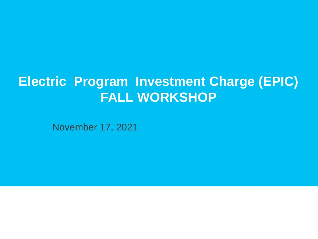# **Electric Program Investment Charge (EPIC) FALL WORKSHOP**

November 17, 2021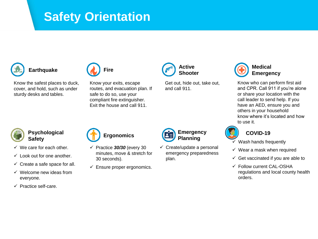## **Safety Orientation**

### **Earthquake**



 Know the safest places to duck, cover, and hold, such as under sturdy desks and tables.

 Know your exits, escape routes, and evacuation plan. If safe to do so, use your Exit the house and call 911. compliant fire extinguisher.



 Get out, hide out, take out, and call 911.



 Know who can perform first aid and CPR. Call 911 if you're alone call leader to send help. If you or share your location with the have an AED, ensure you and others in your household know where it's located and how to use it.



- **Safety**
- $\checkmark$  We care for each other.
- $\checkmark$  Look out for one another.
- $\checkmark$  Create a safe space for all.
- ✓ Welcome new ideas from everyone.
- ✓ Practice self-care.



- minutes, move & stretch for ✓ Practice *30/30* (every 30 30 seconds).
- $\checkmark$  Ensure proper ergonomics.



 $\checkmark$  Create/update a personal emergency preparedness plan.



#### **COVID-19**

- $\checkmark$  Wash hands frequently
- $\checkmark$  Wear a mask when required
- $\checkmark$  Get vaccinated if you are able to
- ✓ Follow current CAL-OSHA regulations and local county health orders.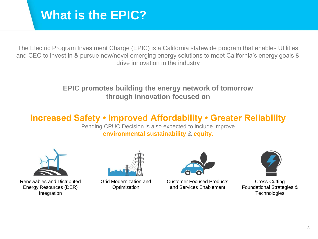## **What is the EPIC?**

 The Electric Program Investment Charge (EPIC) is a California statewide program that enables Utilities **Use for text data or any object using the icons**  and CEC to invest in & pursue new/novel emerging energy solutions to meet California's energy goals & drive innovation in the industry

#### **EPIC promotes building the energy network of tomorrow through innovation focused on**

### **Increased Safety • Improved Affordability • Greater Reliability**

Pending CPUC Decision is also expected to include improve **environmental sustainability** & **equity.** 



Renewables and Distributed Grid Modernization and Customer Focused Products Cross-Cutting





Energy Resources (DER) Contimization and Services Enablement Foundational Strategies &



Integration Technologies **Technologies**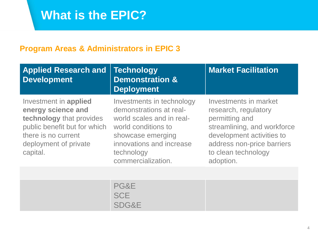## **What is the EPIC?**

#### **Program Areas & Administrators in EPIC 3**

| <b>Applied Research and</b><br><b>Development</b>                                                                                                                   | <b>Technology</b><br><b>Demonstration &amp;</b><br><b>Deployment</b>                                                                                                                          | <b>Market Facilitation</b>                                                                                                                                                                    |
|---------------------------------------------------------------------------------------------------------------------------------------------------------------------|-----------------------------------------------------------------------------------------------------------------------------------------------------------------------------------------------|-----------------------------------------------------------------------------------------------------------------------------------------------------------------------------------------------|
| Investment in applied<br>energy science and<br>technology that provides<br>public benefit but for which<br>there is no current<br>deployment of private<br>capital. | Investments in technology<br>demonstrations at real-<br>world scales and in real-<br>world conditions to<br>showcase emerging<br>innovations and increase<br>technology<br>commercialization. | Investments in market<br>research, regulatory<br>permitting and<br>streamlining, and workforce<br>development activities to<br>address non-price barriers<br>to clean technology<br>adoption. |
|                                                                                                                                                                     |                                                                                                                                                                                               |                                                                                                                                                                                               |

PG&E **SCE** SDG&E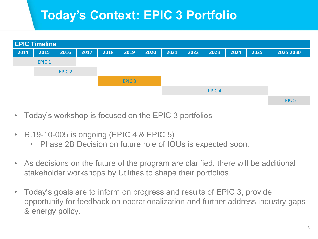# **Today's Context: EPIC 3 Portfolio**



- Today's workshop is focused on the EPIC 3 portfolios
- R.19-10-005 is ongoing (EPIC 4 & EPIC 5)
	- Phase 2B Decision on future role of IOUs is expected soon.
- As decisions on the future of the program are clarified, there will be additional stakeholder workshops by Utilities to shape their portfolios.
- Today's goals are to inform on progress and results of EPIC 3, provide opportunity for feedback on operationalization and further address industry gaps & energy policy.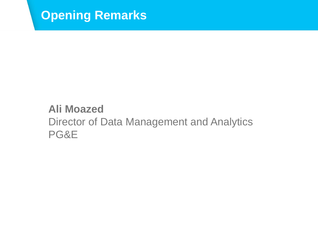

## **Ali Moazed**  Director of Data Management and Analytics PG&E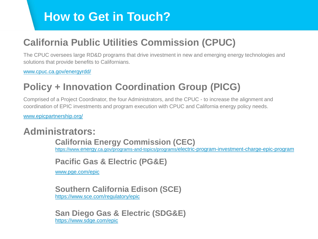## **How to Get in Touch?**

## **California Public Utilities Commission (CPUC)**

 The CPUC oversees large RD&D programs that drive investment in new and emerging energy technologies and solutions that provide benefits to Californians.

[www.cpuc.ca.gov/energyrdd/](http://www.cpuc.ca.gov/energyrdd/)

## **Policy + Innovation Coordination Group (PICG)**

 Comprised of a Project Coordinator, the four Administrators, and the CPUC - to increase the alignment and coordination of EPIC investments and program execution with CPUC and California energy policy needs.

[www.epicpartnership.org/](http://www.epicpartnership.org/) 

### **Administrators:**

**California Energy Commission (CEC)**  <https://www.energy.ca.gov/programs-and-topics/programs/electric-program-investment-charge-epic-program>

#### **Pacific Gas & Electric (PG&E)**

[www.pge.com/epic](http://www.pge.com/epic)

#### **Southern California Edison (SCE)**  <https://www.sce.com/regulatory/epic>

**San Diego Gas & Electric (SDG&E)**  <https://www.sdge.com/epic>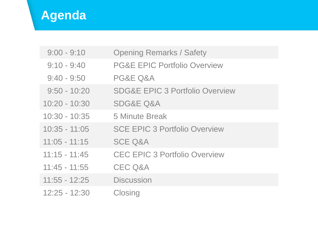# **Agenda**

| $9:00 - 9:10$   | <b>Opening Remarks / Safety</b>            |
|-----------------|--------------------------------------------|
| $9:10 - 9:40$   | <b>PG&amp;E EPIC Portfolio Overview</b>    |
| $9:40 - 9:50$   | PG&E Q&A                                   |
| $9:50 - 10:20$  | <b>SDG&amp;E EPIC 3 Portfolio Overview</b> |
| $10:20 - 10:30$ | <b>SDG&amp;E Q&amp;A</b>                   |
| $10:30 - 10:35$ | 5 Minute Break                             |
| $10:35 - 11:05$ | <b>SCE EPIC 3 Portfolio Overview</b>       |
| $11:05 - 11:15$ | <b>SCE Q&amp;A</b>                         |
| $11:15 - 11:45$ | <b>CEC EPIC 3 Portfolio Overview</b>       |
| $11:45 - 11:55$ | <b>CEC Q&amp;A</b>                         |
| $11:55 - 12:25$ | <b>Discussion</b>                          |
| $12:25 - 12:30$ | Closing                                    |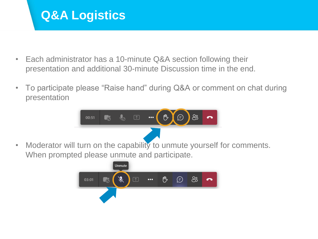## **Q&A Logistics**

- presentation and additional 30-minute Discussion time in the end. • Each administrator has a 10-minute Q&A section following their
- To participate please "Raise hand" during Q&A or comment on chat during presentation



• Moderator will turn on the capability to unmute yourself for comments. When prompted please unmute and participate.